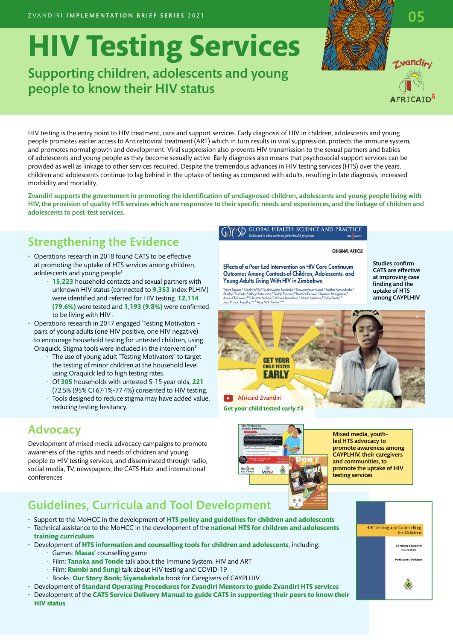# **HIV Testing Services**

## Supporting children, adolescents and young people to know their HIV status

HIV testing is the entry point to HIV treatment, care and support services. Early diagnosis of HIV in children, adolescents and young people promotes earlier access to Antiretroviral treatment (ART) which in turn results in viral suppression, protects the immune system, and promotes normal growth and development. Viral suppression also prevents HIV transmission to the sexual partners and babies of adolescents and young people as they become sexually active. Early diagnosis also means that psychosocial support services can be provided as well as linkage to other services required. Despite the tremendous advances in HIV testing services (HTS) over the years, children and adolescents continue to lag behind in the uptake of testing as compared with adults, resulting in late diagnosis, increased morbidity and mortality.

Zvandiri supports the government in promoting the identification of undiagnosed children, adolescents and young people living with HIV, the provision of quality HTS services which are responsive to their specific needs and experiences, and the linkage of children and adolescents to post-test services.

## Strengthening the Evidence

- Operations research in 2018 found CATS to be effective at promoting the uptake of HTS services among children, adolescents and young people**<sup>1</sup>**
	- **15,223** household contacts and sexual partners with unknown HIV status (connected to **9,353** index PLHIV) were identified and referred for HIV testing. **12,114 (79.6%)** were tested and **1,193 (9.8%)** were confirmed to be living with HIV .
- Operations research in 2017 engaged 'Testing Motivators pairs of young adults (one HIV positive, one HIV negative) to encourage household testing for untested children, using Oraquick. Stigma tools were included in the intervention**<sup>2</sup>**
	- The use of young adult "Testing Motivators" to target the testing of minor children at the household level using Oraquick led to high testing rates.
	- Of **305** households with untested 5-15 year olds, **221**  (72.5% (95% CI 67∙1%-77∙4%) consented to HIV testing.
	- Tools designed to reduce stigma may have added value, reducing testing hesitancy.

#### Advocacy

Development of mixed media advocacy campaigns to promote awareness of the rights and needs of children and young people to HIV testing services, and disseminated through radio, social media, TV, newspapers, the CATS Hub and international conferences

#### **GLOBAL HEALTH: SCIENCE AND**

#### **ORIGINAL ARTICLE**

Effects of a Peer-Led Intervention on HIV Care Continuum Outcomes Among Contacts of Children, Adolescents, and Young Adults Living With HIV in Zimbabwe Talent Tapera," Nicola Willis," Kudakwashe Madzeke," Tanyaradzwa Napei," Mather Maw<br>Stanley Chamoko," Abigail Mutsinze," Teddy Zvirawa," Beatrice Dupwa," Aveneni Mangon<br>Anesu Chimwaza," Talent M. Atakoni," Winnis Mandewo,"

Studies confirm CATS are effective at improving case finding and the uptake of HTS among CAYPLHIV





Mixed media, youthled HTS advocacy to promote awareness among CAYPLHIV, their caregivers and communities, to promote the uptake of HIV

# Guidelines, Curricula and Tool Development

- Support to the MoHCC in the development of **HTS policy and guidelines for children and adolescents**  • Technical assistance to the MoHCC in the development of the **national HTS for children and adolescents**
- **training curriculum**
- Development of **HTS information and counselling tools for children and adolescents**, including: • Games: **Masas'** counselling game
	- Film: **Tanaka and Tonde** talk about the Immune System, HIV and ART
	- Film: **Rumbi and Sungi** talk about HIV testing and COVID-19
	- Books: **Our Story Book; Siyanakekela** book for Caregivers of CAYPLHIV
- Development of **Standard Operating Procedures for Zvandiri Mentors to guide Zvandiri HTS services**
- Development of the **CATS Service Delivery Manual to guide CATS in supporting their peers to know their HIV status**







rvandin: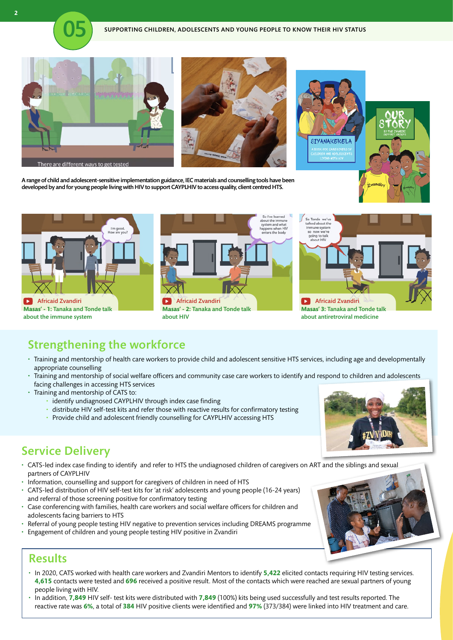







A range of child and adolescent-sensitive implementation guidance, IEC materials and counselling tools have been developed by and for young people living with HIV to support CAYPLHIV to access quality, client centred HTS.



## Strengthening the workforce

- Training and mentorship of health care workers to provide child and adolescent sensitive HTS services, including age and developmentally appropriate counselling
- Training and mentorship of social welfare officers and community case care workers to identify and respond to children and adolescents facing challenges in accessing HTS services
- Training and mentorship of CATS to:
	- identify undiagnosed CAYPLHIV through index case finding
	- distribute HIV self-test kits and refer those with reactive results for confirmatory testing
	- Provide child and adolescent friendly counselling for CAYPLHIV accessing HTS

#### Service Delivery

- CATS-led index case finding to identify and refer to HTS the undiagnosed children of caregivers on ART and the siblings and sexual partners of CAYPLHIV
- Information, counselling and support for caregivers of children in need of HTS
- CATS-led distribution of HIV self-test kits for 'at risk' adolescents and young people (16-24 years) and referral of those screening positive for confirmatory testing
- Case conferencing with families, health care workers and social welfare officers for children and adolescents facing barriers to HTS
- Referral of young people testing HIV negative to prevention services including DREAMS programme
- Engagement of children and young people testing HIV positive in Zvandiri

#### **Results**

- In 2020, CATS worked with health care workers and Zvandiri Mentors to identify **5,422** elicited contacts requiring HIV testing services. **4,615** contacts were tested and **696** received a positive result. Most of the contacts which were reached are sexual partners of young people living with HIV.
- In addition, **7,849** HIV self- test kits were distributed with **7,849** (100%) kits being used successfully and test results reported. The reactive rate was **6%**, a total of **384** HIV positive clients were identified and **97%** (373/384) were linked into HIV treatment and care.